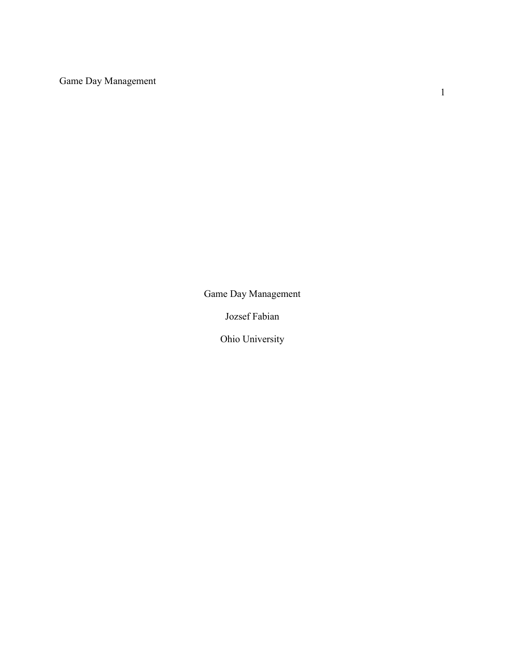Game Day Management

Game Day Management

Jozsef Fabian

Ohio University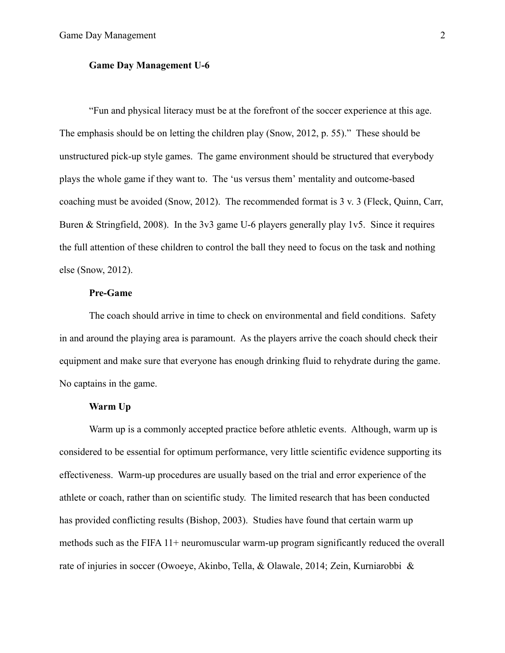#### **Game Day Management U-6**

"Fun and physical literacy must be at the forefront of the soccer experience at this age. The emphasis should be on letting the children play (Snow, 2012, p. 55)." These should be unstructured pick-up style games. The game environment should be structured that everybody plays the whole game if they want to. The 'us versus them' mentality and outcome-based coaching must be avoided (Snow, 2012). The recommended format is 3 v. 3 (Fleck, Quinn, Carr, Buren & Stringfield, 2008). In the 3v3 game U-6 players generally play 1v5. Since it requires the full attention of these children to control the ball they need to focus on the task and nothing else (Snow, 2012).

# **Pre-Game**

The coach should arrive in time to check on environmental and field conditions. Safety in and around the playing area is paramount. As the players arrive the coach should check their equipment and make sure that everyone has enough drinking fluid to rehydrate during the game. No captains in the game.

# **Warm Up**

Warm up is a commonly accepted practice before athletic events. Although, warm up is considered to be essential for optimum performance, very little scientific evidence supporting its effectiveness. Warm-up procedures are usually based on the trial and error experience of the athlete or coach, rather than on scientific study. The limited research that has been conducted has provided conflicting results (Bishop, 2003). Studies have found that certain warm up methods such as the FIFA 11+ neuromuscular warm-up program significantly reduced the overall rate of injuries in soccer (Owoeye, Akinbo, Tella, & Olawale, 2014; Zein, Kurniarobbi &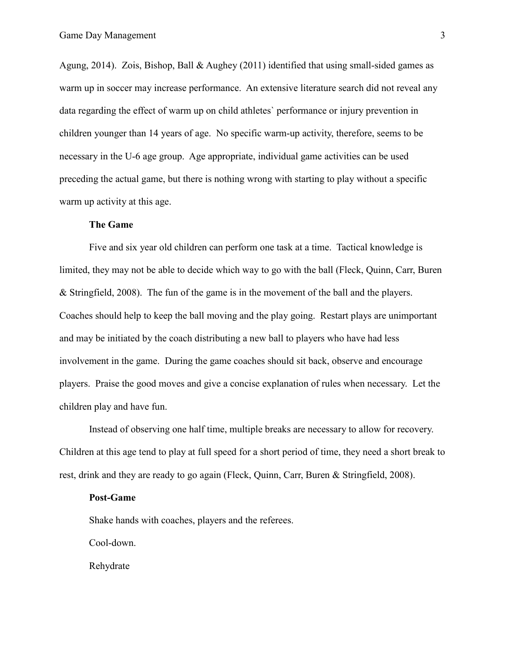Agung, 2014). Zois, Bishop, Ball & Aughey (2011) identified that using small-sided games as warm up in soccer may increase performance. An extensive literature search did not reveal any data regarding the effect of warm up on child athletes` performance or injury prevention in children younger than 14 years of age. No specific warm-up activity, therefore, seems to be necessary in the U-6 age group. Age appropriate, individual game activities can be used preceding the actual game, but there is nothing wrong with starting to play without a specific warm up activity at this age.

#### **The Game**

Five and six year old children can perform one task at a time. Tactical knowledge is limited, they may not be able to decide which way to go with the ball (Fleck, Quinn, Carr, Buren & Stringfield, 2008). The fun of the game is in the movement of the ball and the players. Coaches should help to keep the ball moving and the play going. Restart plays are unimportant and may be initiated by the coach distributing a new ball to players who have had less involvement in the game. During the game coaches should sit back, observe and encourage players. Praise the good moves and give a concise explanation of rules when necessary. Let the children play and have fun.

Instead of observing one half time, multiple breaks are necessary to allow for recovery. Children at this age tend to play at full speed for a short period of time, they need a short break to rest, drink and they are ready to go again (Fleck, Quinn, Carr, Buren & Stringfield, 2008).

#### **Post-Game**

Shake hands with coaches, players and the referees.

Cool-down.

Rehydrate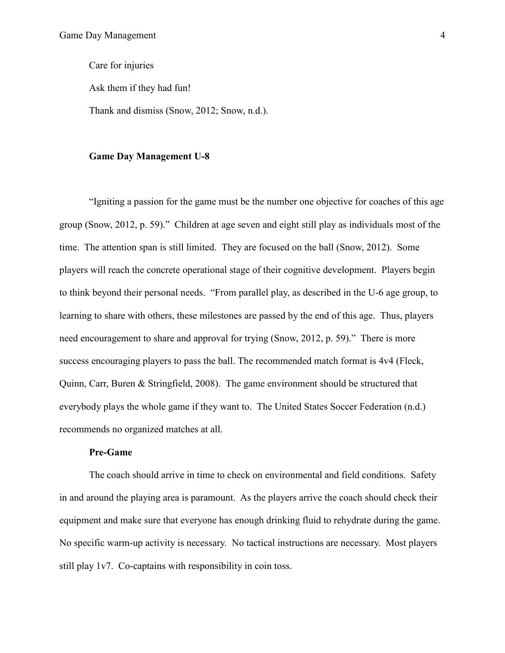Care for injuries

Ask them if they had fun!

Thank and dismiss (Snow, 2012; Snow, n.d.).

#### **Game Day Management U-8**

"Igniting a passion for the game must be the number one objective for coaches of this age group (Snow, 2012, p. 59)." Children at age seven and eight still play as individuals most of the time. The attention span is still limited. They are focused on the ball (Snow, 2012). Some players will reach the concrete operational stage of their cognitive development. Players begin to think beyond their personal needs. "From parallel play, as described in the U-6 age group, to learning to share with others, these milestones are passed by the end of this age. Thus, players need encouragement to share and approval for trying (Snow, 2012, p. 59)." There is more success encouraging players to pass the ball. The recommended match format is 4v4 (Fleck, Quinn, Carr, Buren & Stringfield, 2008). The game environment should be structured that everybody plays the whole game if they want to. The United States Soccer Federation (n.d.) recommends no organized matches at all.

### **Pre-Game**

The coach should arrive in time to check on environmental and field conditions. Safety in and around the playing area is paramount. As the players arrive the coach should check their equipment and make sure that everyone has enough drinking fluid to rehydrate during the game. No specific warm-up activity is necessary. No tactical instructions are necessary. Most players still play 1v7. Co-captains with responsibility in coin toss.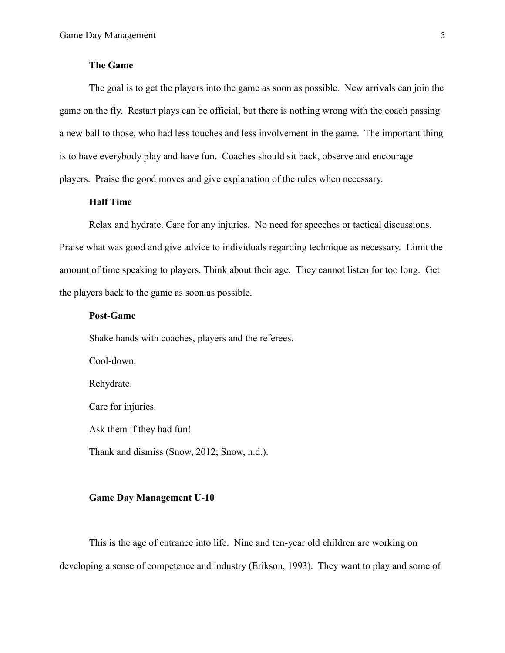# **The Game**

The goal is to get the players into the game as soon as possible. New arrivals can join the game on the fly. Restart plays can be official, but there is nothing wrong with the coach passing a new ball to those, who had less touches and less involvement in the game. The important thing is to have everybody play and have fun. Coaches should sit back, observe and encourage players. Praise the good moves and give explanation of the rules when necessary.

# **Half Time**

Relax and hydrate. Care for any injuries. No need for speeches or tactical discussions. Praise what was good and give advice to individuals regarding technique as necessary. Limit the amount of time speaking to players. Think about their age. They cannot listen for too long. Get the players back to the game as soon as possible.

### **Post-Game**

Shake hands with coaches, players and the referees.

Cool-down. Rehydrate. Care for injuries. Ask them if they had fun! Thank and dismiss (Snow, 2012; Snow, n.d.).

### **Game Day Management U-10**

This is the age of entrance into life. Nine and ten-year old children are working on developing a sense of competence and industry (Erikson, 1993). They want to play and some of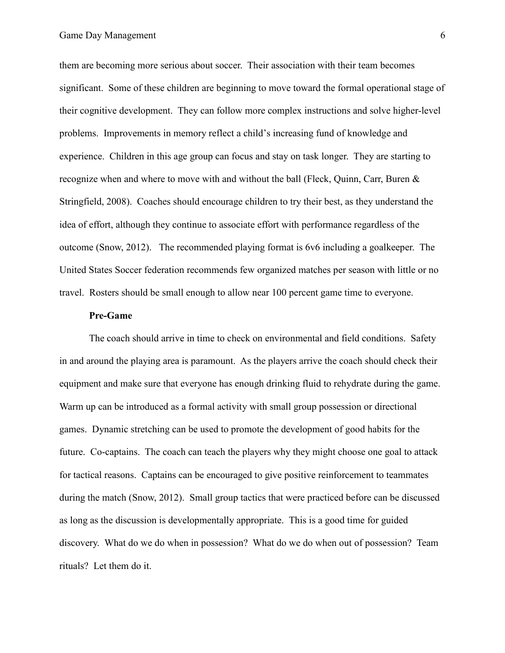them are becoming more serious about soccer. Their association with their team becomes significant. Some of these children are beginning to move toward the formal operational stage of their cognitive development. They can follow more complex instructions and solve higher-level problems. Improvements in memory reflect a child's increasing fund of knowledge and experience. Children in this age group can focus and stay on task longer. They are starting to recognize when and where to move with and without the ball (Fleck, Quinn, Carr, Buren & Stringfield, 2008). Coaches should encourage children to try their best, as they understand the idea of effort, although they continue to associate effort with performance regardless of the outcome (Snow, 2012). The recommended playing format is 6v6 including a goalkeeper. The United States Soccer federation recommends few organized matches per season with little or no travel. Rosters should be small enough to allow near 100 percent game time to everyone.

#### **Pre-Game**

The coach should arrive in time to check on environmental and field conditions. Safety in and around the playing area is paramount. As the players arrive the coach should check their equipment and make sure that everyone has enough drinking fluid to rehydrate during the game. Warm up can be introduced as a formal activity with small group possession or directional games. Dynamic stretching can be used to promote the development of good habits for the future. Co-captains. The coach can teach the players why they might choose one goal to attack for tactical reasons. Captains can be encouraged to give positive reinforcement to teammates during the match (Snow, 2012). Small group tactics that were practiced before can be discussed as long as the discussion is developmentally appropriate. This is a good time for guided discovery. What do we do when in possession? What do we do when out of possession? Team rituals? Let them do it.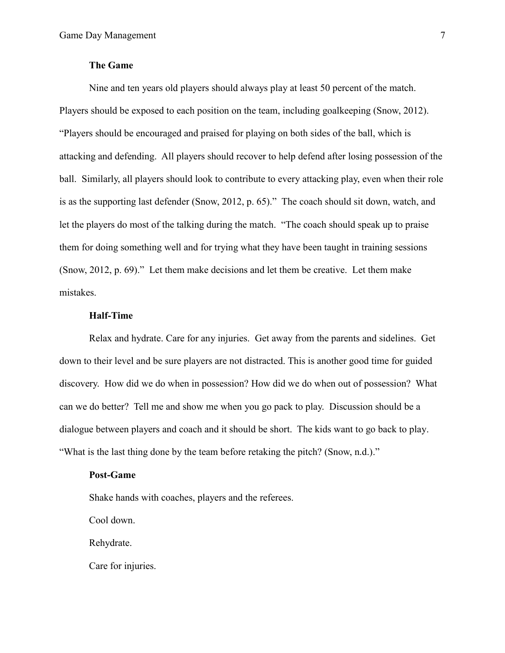# **The Game**

Nine and ten years old players should always play at least 50 percent of the match. Players should be exposed to each position on the team, including goalkeeping (Snow, 2012). "Players should be encouraged and praised for playing on both sides of the ball, which is attacking and defending. All players should recover to help defend after losing possession of the ball. Similarly, all players should look to contribute to every attacking play, even when their role is as the supporting last defender (Snow, 2012, p. 65)." The coach should sit down, watch, and let the players do most of the talking during the match. "The coach should speak up to praise them for doing something well and for trying what they have been taught in training sessions (Snow, 2012, p. 69)." Let them make decisions and let them be creative. Let them make mistakes.

### **Half-Time**

Relax and hydrate. Care for any injuries. Get away from the parents and sidelines. Get down to their level and be sure players are not distracted. This is another good time for guided discovery. How did we do when in possession? How did we do when out of possession? What can we do better? Tell me and show me when you go pack to play. Discussion should be a dialogue between players and coach and it should be short. The kids want to go back to play. "What is the last thing done by the team before retaking the pitch? (Snow, n.d.)."

### **Post-Game**

Shake hands with coaches, players and the referees.

Cool down.

Rehydrate.

Care for injuries.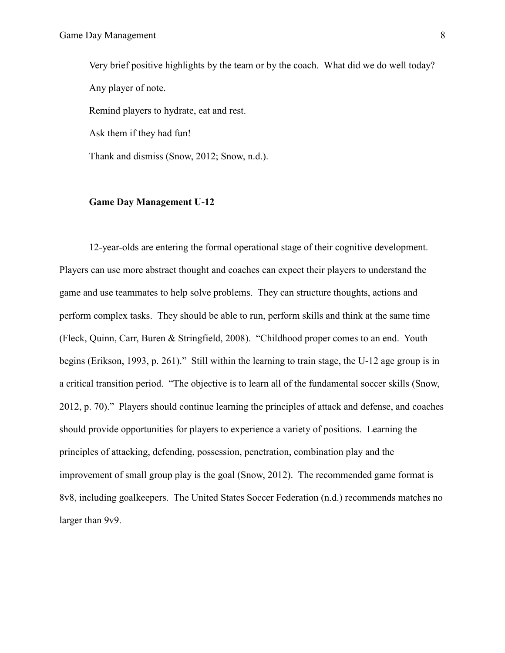Very brief positive highlights by the team or by the coach. What did we do well today? Any player of note. Remind players to hydrate, eat and rest. Ask them if they had fun! Thank and dismiss (Snow, 2012; Snow, n.d.).

# **Game Day Management U-12**

12-year-olds are entering the formal operational stage of their cognitive development. Players can use more abstract thought and coaches can expect their players to understand the game and use teammates to help solve problems. They can structure thoughts, actions and perform complex tasks. They should be able to run, perform skills and think at the same time (Fleck, Quinn, Carr, Buren & Stringfield, 2008). "Childhood proper comes to an end. Youth begins (Erikson, 1993, p. 261)." Still within the learning to train stage, the U-12 age group is in a critical transition period. "The objective is to learn all of the fundamental soccer skills (Snow, 2012, p. 70)." Players should continue learning the principles of attack and defense, and coaches should provide opportunities for players to experience a variety of positions. Learning the principles of attacking, defending, possession, penetration, combination play and the improvement of small group play is the goal (Snow, 2012). The recommended game format is 8v8, including goalkeepers. The United States Soccer Federation (n.d.) recommends matches no larger than 9v9.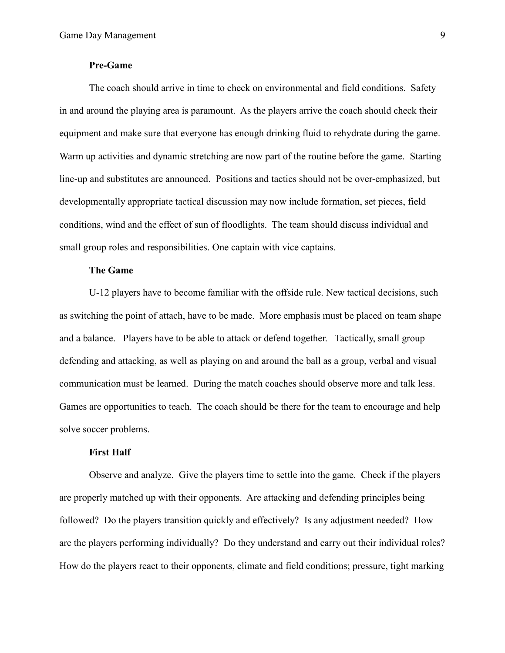# **Pre-Game**

The coach should arrive in time to check on environmental and field conditions. Safety in and around the playing area is paramount. As the players arrive the coach should check their equipment and make sure that everyone has enough drinking fluid to rehydrate during the game. Warm up activities and dynamic stretching are now part of the routine before the game. Starting line-up and substitutes are announced. Positions and tactics should not be over-emphasized, but developmentally appropriate tactical discussion may now include formation, set pieces, field conditions, wind and the effect of sun of floodlights. The team should discuss individual and small group roles and responsibilities. One captain with vice captains.

# **The Game**

U-12 players have to become familiar with the offside rule. New tactical decisions, such as switching the point of attach, have to be made. More emphasis must be placed on team shape and a balance. Players have to be able to attack or defend together. Tactically, small group defending and attacking, as well as playing on and around the ball as a group, verbal and visual communication must be learned. During the match coaches should observe more and talk less. Games are opportunities to teach. The coach should be there for the team to encourage and help solve soccer problems.

### **First Half**

Observe and analyze. Give the players time to settle into the game. Check if the players are properly matched up with their opponents. Are attacking and defending principles being followed? Do the players transition quickly and effectively? Is any adjustment needed? How are the players performing individually? Do they understand and carry out their individual roles? How do the players react to their opponents, climate and field conditions; pressure, tight marking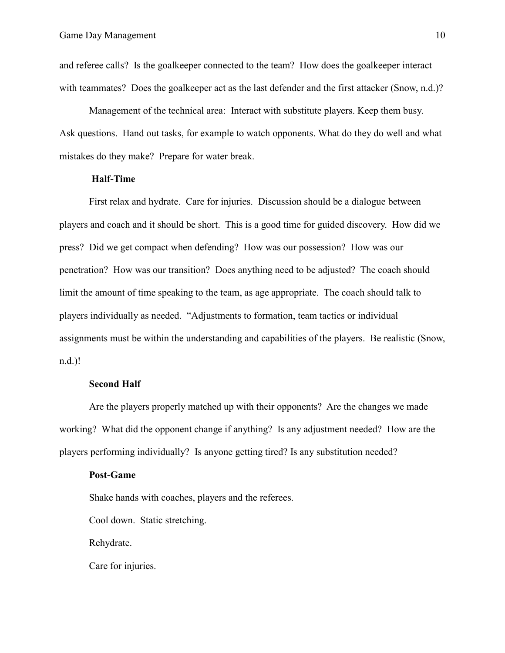and referee calls? Is the goalkeeper connected to the team? How does the goalkeeper interact with teammates? Does the goalkeeper act as the last defender and the first attacker (Snow, n.d.)?

Management of the technical area: Interact with substitute players. Keep them busy. Ask questions. Hand out tasks, for example to watch opponents. What do they do well and what mistakes do they make? Prepare for water break.

### **Half-Time**

First relax and hydrate. Care for injuries. Discussion should be a dialogue between players and coach and it should be short. This is a good time for guided discovery. How did we press? Did we get compact when defending? How was our possession? How was our penetration? How was our transition? Does anything need to be adjusted? The coach should limit the amount of time speaking to the team, as age appropriate. The coach should talk to players individually as needed. "Adjustments to formation, team tactics or individual assignments must be within the understanding and capabilities of the players. Be realistic (Snow, n.d.)!

## **Second Half**

Are the players properly matched up with their opponents? Are the changes we made working? What did the opponent change if anything? Is any adjustment needed? How are the players performing individually? Is anyone getting tired? Is any substitution needed?

### **Post-Game**

Shake hands with coaches, players and the referees.

Cool down. Static stretching.

Rehydrate.

Care for injuries.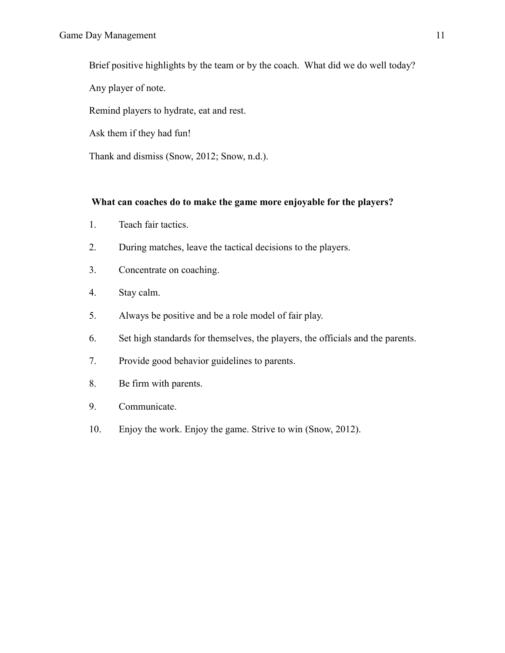Brief positive highlights by the team or by the coach. What did we do well today?

Any player of note.

Remind players to hydrate, eat and rest.

Ask them if they had fun!

Thank and dismiss (Snow, 2012; Snow, n.d.).

# **What can coaches do to make the game more enjoyable for the players?**

- 1. Teach fair tactics.
- 2. During matches, leave the tactical decisions to the players.
- 3. Concentrate on coaching.
- 4. Stay calm.
- 5. Always be positive and be a role model of fair play.
- 6. Set high standards for themselves, the players, the officials and the parents.
- 7. Provide good behavior guidelines to parents.
- 8. Be firm with parents.
- 9. Communicate.
- 10. Enjoy the work. Enjoy the game. Strive to win (Snow, 2012).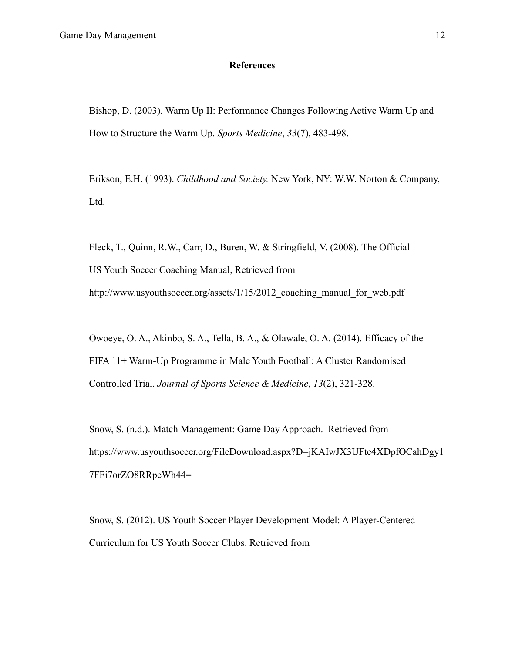# **References**

Bishop, D. (2003). Warm Up II: Performance Changes Following Active Warm Up and How to Structure the Warm Up. *Sports Medicine*, *33*(7), 483-498.

Erikson, E.H. (1993). *Childhood and Society.* New York, NY: W.W. Norton & Company, Ltd.

Fleck, T., Quinn, R.W., Carr, D., Buren, W. & Stringfield, V. (2008). The Official US Youth Soccer Coaching Manual, Retrieved from http://www.usyouthsoccer.org/assets/1/15/2012 coaching manual for web.pdf

Owoeye, O. A., Akinbo, S. A., Tella, B. A., & Olawale, O. A. (2014). Efficacy of the FIFA 11+ Warm-Up Programme in Male Youth Football: A Cluster Randomised Controlled Trial. *Journal of Sports Science & Medicine*, *13*(2), 321-328.

Snow, S. (n.d.). Match Management: Game Day Approach. Retrieved from https://www.usyouthsoccer.org/FileDownload.aspx?D=jKAIwJX3UFte4XDpfOCahDgy1 7FFi7orZO8RRpeWh44=

Snow, S. (2012). US Youth Soccer Player Development Model: A Player-Centered Curriculum for US Youth Soccer Clubs. Retrieved from